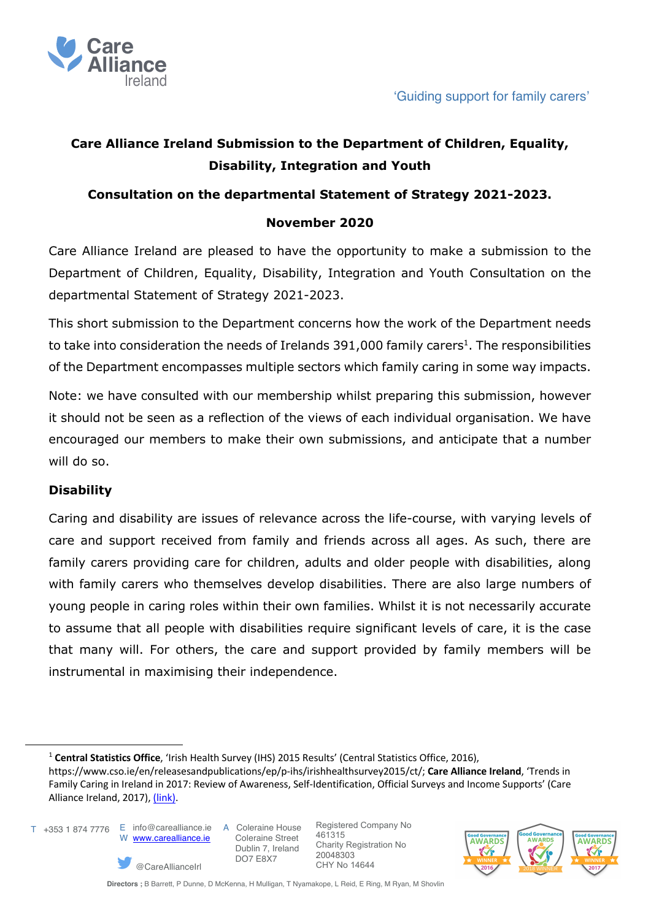

# **Care Alliance Ireland Submission to the Department of Children, Equality, Disability, Integration and Youth**

## **Consultation on the departmental Statement of Strategy 2021-2023.**

## **November 2020**

Care Alliance Ireland are pleased to have the opportunity to make a submission to the Department of Children, Equality, Disability, Integration and Youth Consultation on the departmental Statement of Strategy 2021-2023.

This short submission to the Department concerns how the work of the Department needs to take into consideration the needs of Irelands  $391,000$  family carers<sup>1</sup>. The responsibilities of the Department encompasses multiple sectors which family caring in some way impacts.

Note: we have consulted with our membership whilst preparing this submission, however it should not be seen as a reflection of the views of each individual organisation. We have encouraged our members to make their own submissions, and anticipate that a number will do so.

#### **Disability**

Caring and disability are issues of relevance across the life-course, with varying levels of care and support received from family and friends across all ages. As such, there are family carers providing care for children, adults and older people with disabilities, along with family carers who themselves develop disabilities. There are also large numbers of young people in caring roles within their own families. Whilst it is not necessarily accurate to assume that all people with disabilities require significant levels of care, it is the case that many will. For others, the care and support provided by family members will be instrumental in maximising their independence.

 E info@carealliance.ie T +353 1 874 7776 W www.carealliance.ie

@CareAllianceIrl

A Coleraine House Coleraine Street Dublin 7, Ireland DO7 E8X7



<sup>1</sup> **Central Statistics Office**, 'Irish Health Survey (IHS) 2015 Results' (Central Statistics Office, 2016),

https://www.cso.ie/en/releasesandpublications/ep/p-ihs/irishhealthsurvey2015/ct/; **Care Alliance Ireland**, 'Trends in Family Caring in Ireland in 2017: Review of Awareness, Self-Identification, Official Surveys and Income Supports' (Care Alliance Ireland, 2017), (link).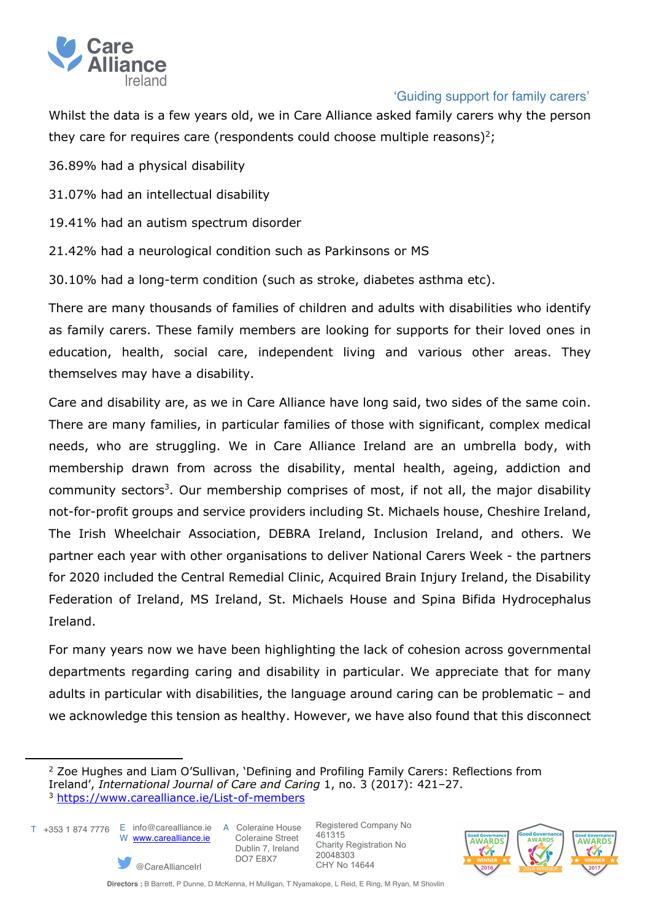

# 'Guiding support for family carers'

Whilst the data is a few years old, we in Care Alliance asked family carers why the person they care for requires care (respondents could choose multiple reasons)<sup>2</sup>;

36.89% had a physical disability

31.07% had an intellectual disability

19.41% had an autism spectrum disorder

21.42% had a neurological condition such as Parkinsons or MS

30.10% had a long-term condition (such as stroke, diabetes asthma etc).

There are many thousands of families of children and adults with disabilities who identify as family carers. These family members are looking for supports for their loved ones in education, health, social care, independent living and various other areas. They themselves may have a disability.

Care and disability are, as we in Care Alliance have long said, two sides of the same coin. There are many families, in particular families of those with significant, complex medical needs, who are struggling. We in Care Alliance Ireland are an umbrella body, with membership drawn from across the disability, mental health, ageing, addiction and community sectors<sup>3</sup>. Our membership comprises of most, if not all, the major disability not-for-profit groups and service providers including St. Michaels house, Cheshire Ireland, The Irish Wheelchair Association, DEBRA Ireland, Inclusion Ireland, and others. We partner each year with other organisations to deliver National Carers Week - the partners for 2020 included the Central Remedial Clinic, Acquired Brain Injury Ireland, the Disability Federation of Ireland, MS Ireland, St. Michaels House and Spina Bifida Hydrocephalus Ireland.

For many years now we have been highlighting the lack of cohesion across governmental departments regarding caring and disability in particular. We appreciate that for many adults in particular with disabilities, the language around caring can be problematic – and we acknowledge this tension as healthy. However, we have also found that this disconnect

T +353 1 874 7776 E info@carealliance.ie A Coleraine House

W www.carealliance.ie

@CareAllianceIrl

 Coleraine Street Dublin 7, Ireland DO7 E8X7



<sup>&</sup>lt;sup>2</sup> Zoe Hughes and Liam O'Sullivan, 'Defining and Profiling Family Carers: Reflections from Ireland', *International Journal of Care and Caring* 1, no. 3 (2017): 421–27. <sup>3</sup> https://www.carealliance.ie/List-of-members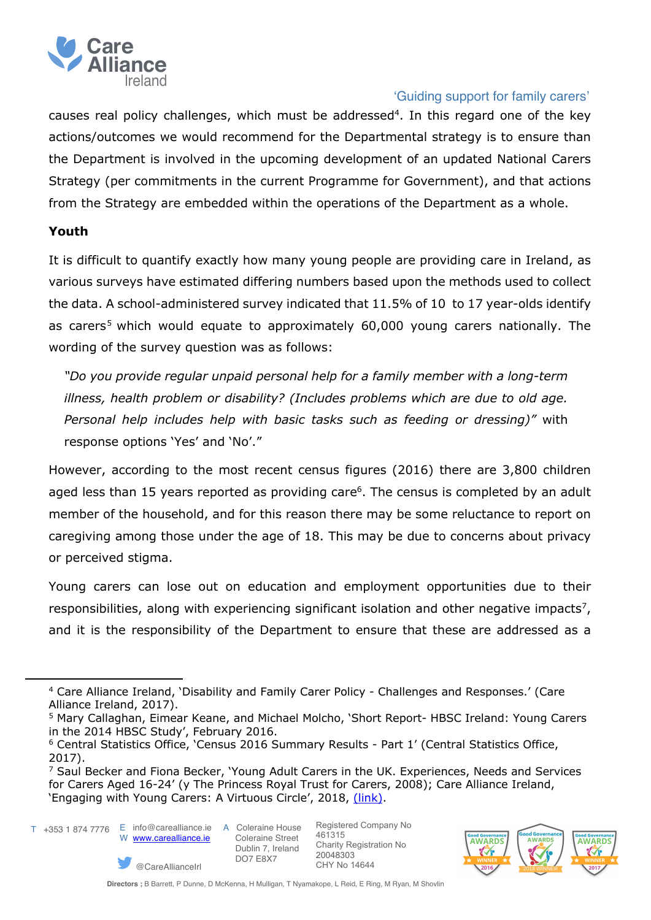

## 'Guiding support for family carers'

causes real policy challenges, which must be addressed<sup>4</sup>. In this regard one of the key actions/outcomes we would recommend for the Departmental strategy is to ensure than the Department is involved in the upcoming development of an updated National Carers Strategy (per commitments in the current Programme for Government), and that actions from the Strategy are embedded within the operations of the Department as a whole.

## **Youth**

It is difficult to quantify exactly how many young people are providing care in Ireland, as various surveys have estimated differing numbers based upon the methods used to collect the data. A school-administered survey indicated that 11.5% of 10 to 17 year-olds identify as carers<sup>5</sup> which would equate to approximately  $60,000$  young carers nationally. The wording of the survey question was as follows:

*"Do you provide regular unpaid personal help for a family member with a long-term illness, health problem or disability? (Includes problems which are due to old age. Personal help includes help with basic tasks such as feeding or dressing)"* with response options 'Yes' and 'No'."

However, according to the most recent census figures (2016) there are 3,800 children aged less than 15 years reported as providing care<sup>6</sup>. The census is completed by an adult member of the household, and for this reason there may be some reluctance to report on caregiving among those under the age of 18. This may be due to concerns about privacy or perceived stigma.

Young carers can lose out on education and employment opportunities due to their responsibilities, along with experiencing significant isolation and other negative impacts<sup>7</sup>, and it is the responsibility of the Department to ensure that these are addressed as a



@CareAllianceIrl



<sup>4</sup> Care Alliance Ireland, 'Disability and Family Carer Policy - Challenges and Responses.' (Care Alliance Ireland, 2017).

<sup>5</sup> Mary Callaghan, Eimear Keane, and Michael Molcho, 'Short Report- HBSC Ireland: Young Carers in the 2014 HBSC Study', February 2016.

<sup>6</sup> Central Statistics Office, 'Census 2016 Summary Results - Part 1' (Central Statistics Office, 2017).

 $<sup>7</sup>$  Saul Becker and Fiona Becker, 'Young Adult Carers in the UK. Experiences, Needs and Services</sup> for Carers Aged 16-24' (y The Princess Royal Trust for Carers, 2008); Care Alliance Ireland, 'Engaging with Young Carers: A Virtuous Circle', 2018, (link).